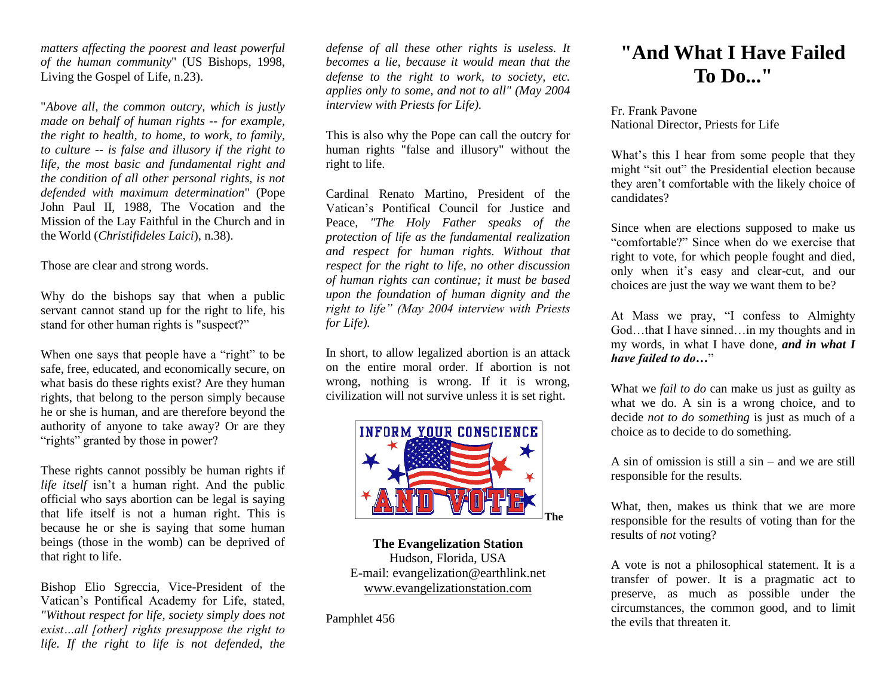*matters affecting the poorest and least powerful of the human community*" (US Bishops, 1998, Living the Gospel of Life, n.23).

"*Above all, the common outcry, which is justly made on behalf of human rights -- for example, the right to health, to home, to work, to family, to culture -- is false and illusory if the right to life, the most basic and fundamental right and the condition of all other personal rights, is not defended with maximum determination*" (Pope John Paul II, 1988, The Vocation and the Mission of the Lay Faithful in the Church and in the World (*Christifideles Laici*), n.38).

Those are clear and strong words.

Why do the bishops say that when a public servant cannot stand up for the right to life, his stand for other human rights is "suspect?"

When one says that people have a "right" to be safe, free, educated, and economically secure, on what basis do these rights exist? Are they human rights, that belong to the person simply because he or she is human, and are therefore beyond the authority of anyone to take away? Or are they "rights" granted by those in power?

These rights cannot possibly be human rights if *life itself* isn't a human right. And the public official who says abortion can be legal is saying that life itself is not a human right. This is because he or she is saying that some human beings (those in the womb) can be deprived of that right to life.

Bishop Elio Sgreccia, Vice-President of the Vatican's Pontifical Academy for Life, stated, *"Without respect for life, society simply does not exist…all [other] rights presuppose the right to life. If the right to life is not defended, the* 

*defense of all these other rights is useless. It becomes a lie, because it would mean that the defense to the right to work, to society, etc. applies only to some, and not to all" (May 2004 interview with Priests for Life).*

This is also why the Pope can call the outcry for human rights "false and illusory" without the right to life.

Cardinal Renato Martino, President of the Vatican's Pontifical Council for Justice and Peace, *"The Holy Father speaks of the protection of life as the fundamental realization and respect for human rights. Without that respect for the right to life, no other discussion of human rights can continue; it must be based upon the foundation of human dignity and the right to life" (May 2004 interview with Priests for Life).*

In short, to allow legalized abortion is an attack on the entire moral order. If abortion is not wrong, nothing is wrong. If it is wrong, civilization will not survive unless it is set right.



**The Evangelization Station** Hudson, Florida, USA E-mail: evangelization@earthlink.net [www.evangelizationstation.com](http://www.pjpiisoe.org/)

Pamphlet 456

## **"And What I Have Failed To Do..."**

Fr. Frank Pavone National Director, Priests for Life

What's this I hear from some people that they might "sit out" the Presidential election because they aren't comfortable with the likely choice of candidates?

Since when are elections supposed to make us "comfortable?" Since when do we exercise that right to vote, for which people fought and died, only when it's easy and clear-cut, and our choices are just the way we want them to be?

At Mass we pray, "I confess to Almighty God…that I have sinned…in my thoughts and in my words, in what I have done, *and in what I have failed to do…*"

What we *fail to do* can make us just as guilty as what we do. A sin is a wrong choice, and to decide *not to do something* is just as much of a choice as to decide to do something.

A sin of omission is still a sin – and we are still responsible for the results.

What, then, makes us think that we are more responsible for the results of voting than for the results of *not* voting?

A vote is not a philosophical statement. It is a transfer of power. It is a pragmatic act to preserve, as much as possible under the circumstances, the common good, and to limit the evils that threaten it.